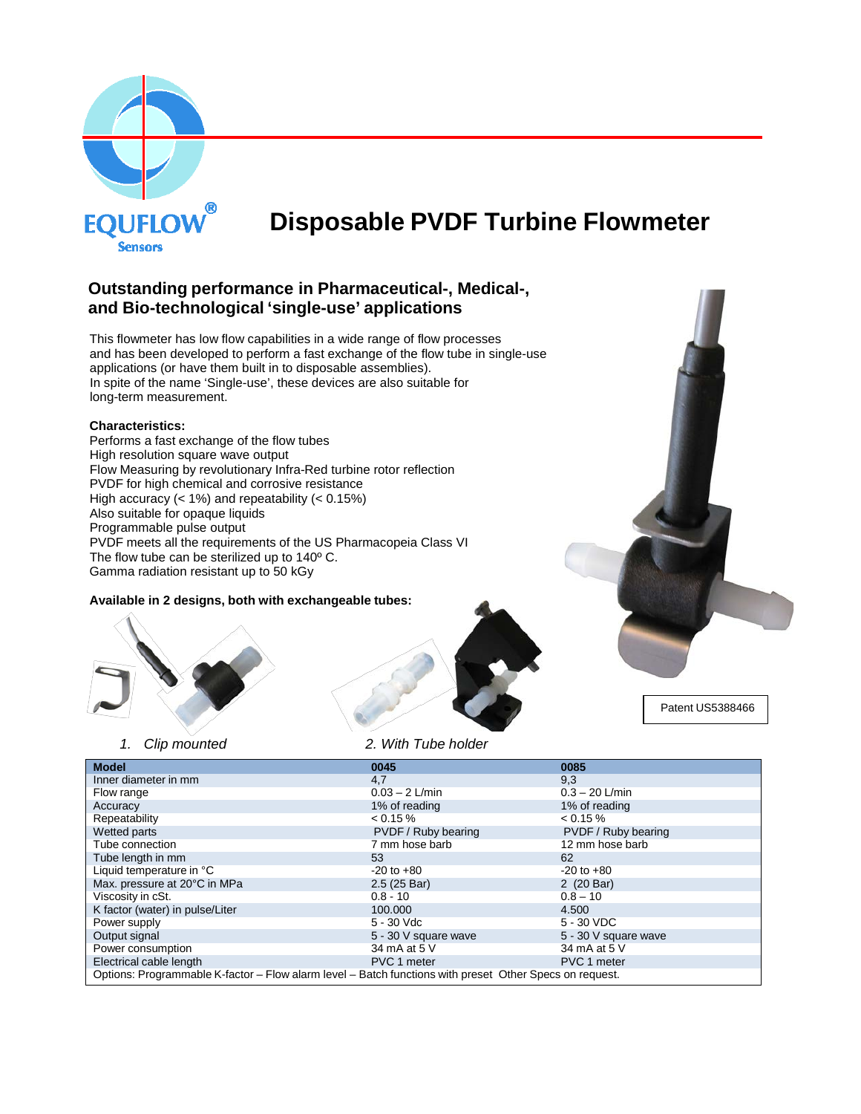

# **Disposable PVDF Turbine Flowmeter**

# **Outstanding performance in Pharmaceutical-, Medical-, and Bio-technological 'single-use' applications**

This flowmeter has low flow capabilities in a wide range of flow processes and has been developed to perform a fast exchange of the flow tube in single-use applications (or have them built in to disposable assemblies). In spite of the name 'Single-use', these devices are also suitable for long-term measurement.

#### **Characteristics:**

Performs a fast exchange of the flow tubes High resolution square wave output Flow Measuring by revolutionary Infra-Red turbine rotor reflection PVDF for high chemical and corrosive resistance High accuracy (< 1%) and repeatability (< 0.15%) Also suitable for opaque liquids Programmable pulse output PVDF meets all the requirements of the US Pharmacopeia Class VI The flow tube can be sterilized up to 140º C. Gamma radiation resistant up to 50 kGy

#### **Available in 2 designs, both with exchangeable tubes:**





Patent US5388466

|  | Clip mounted |  |
|--|--------------|--|

*1. Clip mounted 2. With Tube holder*

| <b>Model</b>                                                                                            | 0045                 | 0085                 |
|---------------------------------------------------------------------------------------------------------|----------------------|----------------------|
| Inner diameter in mm                                                                                    | 4,7                  | 9,3                  |
| Flow range                                                                                              | $0.03 - 2$ L/min     | $0.3 - 20$ L/min     |
| Accuracy                                                                                                | 1% of reading        | 1% of reading        |
| Repeatability                                                                                           | $< 0.15 \%$          | $< 0.15 \%$          |
| Wetted parts                                                                                            | PVDF / Ruby bearing  | PVDF / Ruby bearing  |
| Tube connection                                                                                         | 7 mm hose barb       | 12 mm hose barb      |
| Tube length in mm                                                                                       | 53                   | 62                   |
| Liquid temperature in °C                                                                                | $-20$ to $+80$       | $-20$ to $+80$       |
| Max. pressure at 20°C in MPa                                                                            | 2.5(25 Bar)          | 2 (20 Bar)           |
| Viscosity in cSt.                                                                                       | $0.8 - 10$           | $0.8 - 10$           |
| K factor (water) in pulse/Liter                                                                         | 100.000              | 4.500                |
| Power supply                                                                                            | 5 - 30 Vdc           | 5 - 30 VDC           |
| Output signal                                                                                           | 5 - 30 V square wave | 5 - 30 V square wave |
| Power consumption                                                                                       | 34 mA at 5 V         | 34 mA at 5 V         |
| Electrical cable length                                                                                 | PVC 1 meter          | PVC 1 meter          |
| Options: Programmable K-factor - Flow alarm level - Batch functions with preset Other Specs on request. |                      |                      |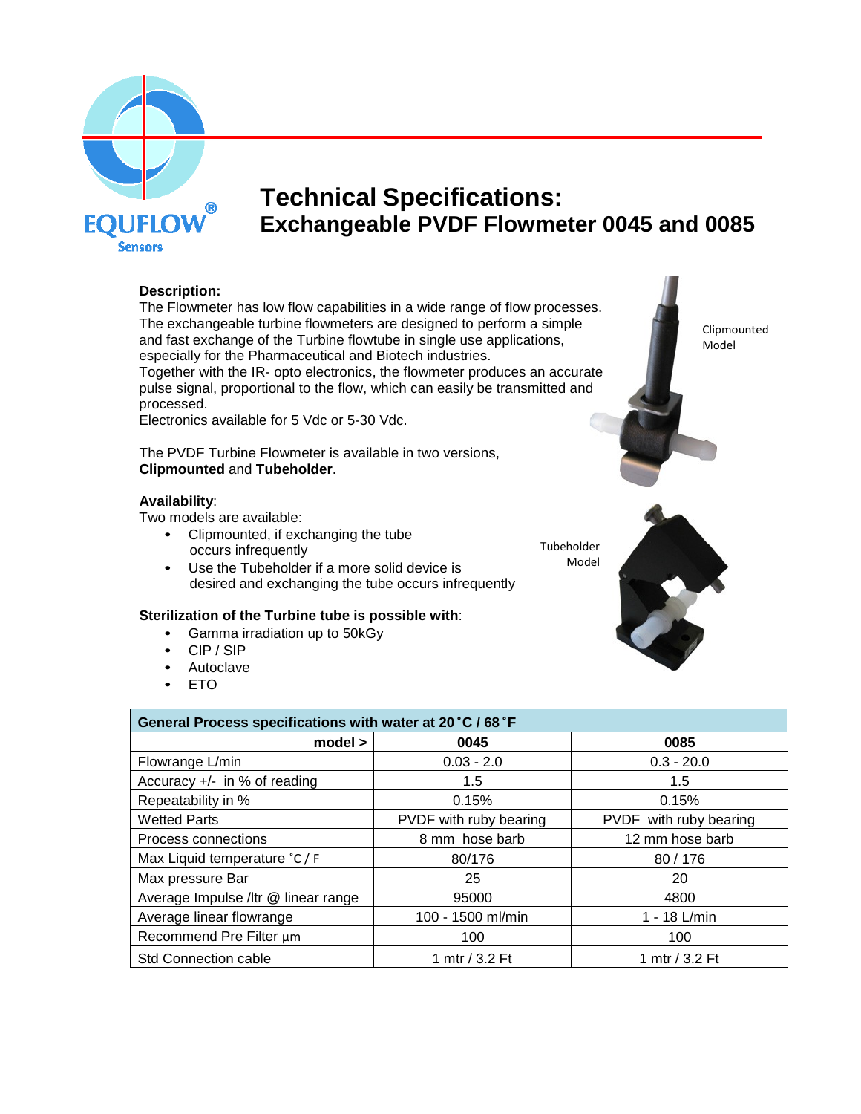

# **Technical Specifications: Exchangeable PVDF Flowmeter 0045 and 0085**

# **Description:**

The Flowmeter has low flow capabilities in a wide range of flow processes. The exchangeable turbine flowmeters are designed to perform a simple and fast exchange of the Turbine flowtube in single use applications, especially for the Pharmaceutical and Biotech industries. Together with the IR- opto electronics, the flowmeter produces an accurate pulse signal, proportional to the flow, which can easily be transmitted and processed.

Electronics available for 5 Vdc or 5-30 Vdc.

The PVDF Turbine Flowmeter is available in two versions, **Clipmounted** and **Tubeholder**.

# **Availability**:

Two models are available:

• Clipmounted, if exchanging the tube occurs infrequently

• Use the Tubeholder if a more solid device is desired and exchanging the tube occurs infrequently

# **Sterilization of the Turbine tube is possible with**:

- Gamma irradiation up to 50kGy
- CIP / SIP
- Autoclave
- ETO

| General Process specifications with water at 20 °C / 68 °F |                        |                        |
|------------------------------------------------------------|------------------------|------------------------|
| model >                                                    | 0045                   | 0085                   |
| Flowrange L/min                                            | $0.03 - 2.0$           | $0.3 - 20.0$           |
| Accuracy $+/-$ in % of reading                             | 1.5                    | 1.5                    |
| Repeatability in %                                         | 0.15%                  | 0.15%                  |
| <b>Wetted Parts</b>                                        | PVDF with ruby bearing | PVDF with ruby bearing |
| Process connections                                        | 8 mm hose barb         | 12 mm hose barb        |
| Max Liquid temperature °C / F                              | 80/176                 | 80/176                 |
| Max pressure Bar                                           | 25                     | 20                     |
| Average Impulse /ltr @ linear range                        | 95000                  | 4800                   |
| Average linear flowrange                                   | 100 - 1500 ml/min      | 1 - 18 L/min           |
| Recommend Pre Filter µm                                    | 100                    | 100                    |
| <b>Std Connection cable</b>                                | 1 mtr / 3.2 Ft         | 1 mtr / 3.2 Ft         |

Clipmounted Model



Tubeholder Model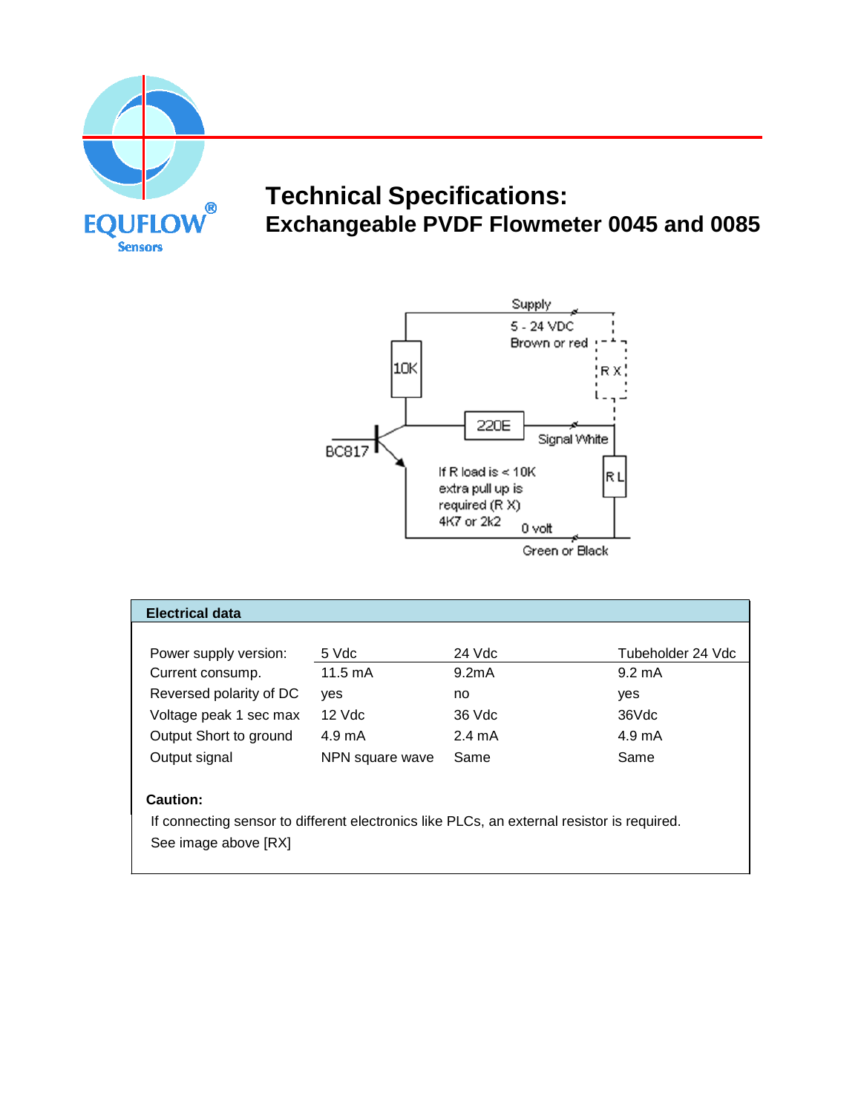

# **Technical Specifications: Exchangeable PVDF Flowmeter 0045 and 0085**



| <b>Electrical data</b>                                                                     |                   |                    |                   |
|--------------------------------------------------------------------------------------------|-------------------|--------------------|-------------------|
|                                                                                            |                   |                    |                   |
| Power supply version:                                                                      | 5 Vdc             | 24 Vdc             | Tubeholder 24 Vdc |
| Current consump.                                                                           | $11.5 \text{ mA}$ | 9.2 <sub>m</sub> A | $9.2 \text{ mA}$  |
| Reversed polarity of DC                                                                    | ves               | no                 | yes               |
| Voltage peak 1 sec max                                                                     | $12$ Vdc          | 36 Vdc             | 36Vdc             |
| Output Short to ground                                                                     | $4.9 \text{ mA}$  | $2.4 \text{ mA}$   | 4.9 mA            |
| Output signal                                                                              | NPN square wave   | Same               | Same              |
| <b>Caution:</b>                                                                            |                   |                    |                   |
| If connecting sensor to different electronics like PLCs, an external resistor is required. |                   |                    |                   |
| See image above [RX]                                                                       |                   |                    |                   |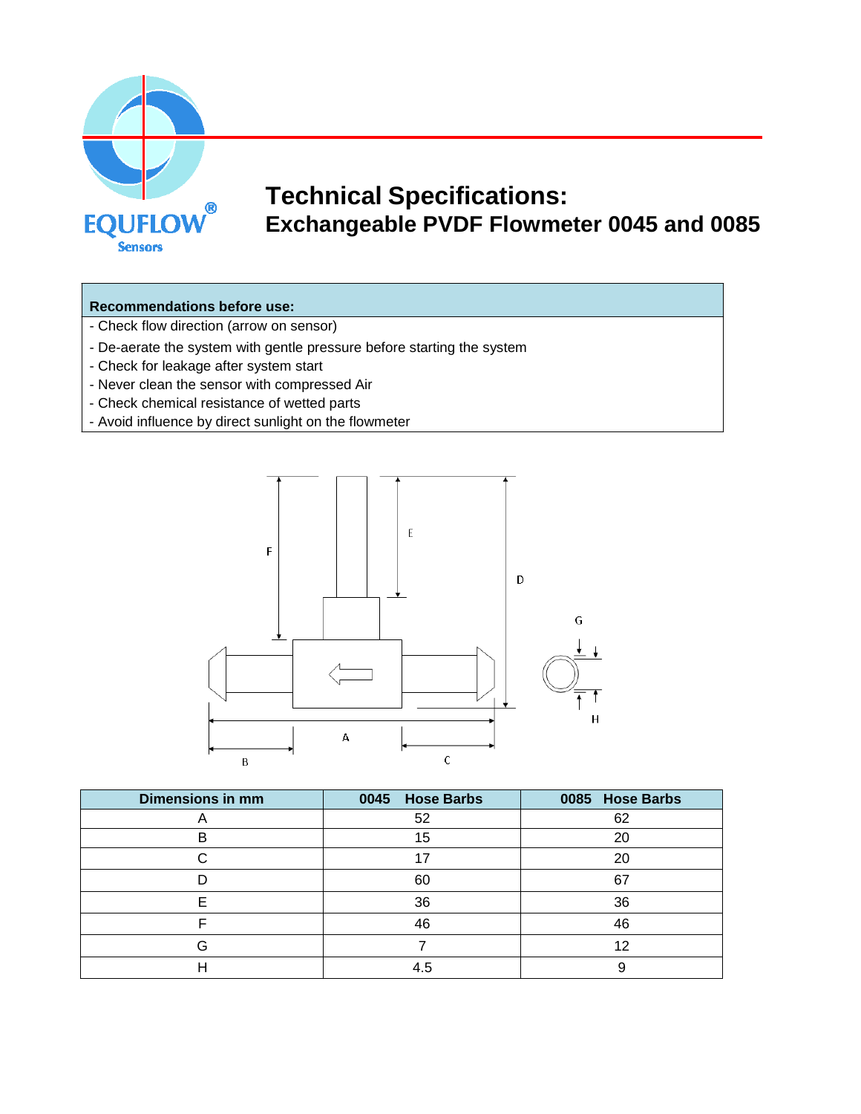

# **Technical Specifications: Exchangeable PVDF Flowmeter 0045 and 0085**

# **Recommendations before use:**

- Check flow direction (arrow on sensor)
- De-aerate the system with gentle pressure before starting the system
- Check for leakage after system start
- Never clean the sensor with compressed Air
- Check chemical resistance of wetted parts
- Avoid influence by direct sunlight on the flowmeter



| <b>Dimensions in mm</b> | 0045 Hose Barbs | 0085 Hose Barbs |
|-------------------------|-----------------|-----------------|
|                         | 52              | 62              |
|                         | 15              | 20              |
|                         |                 | 20              |
|                         | 60              | 67              |
|                         | 36              | 36              |
|                         | 46              | 46              |
|                         |                 | 12              |
|                         | 4.5             |                 |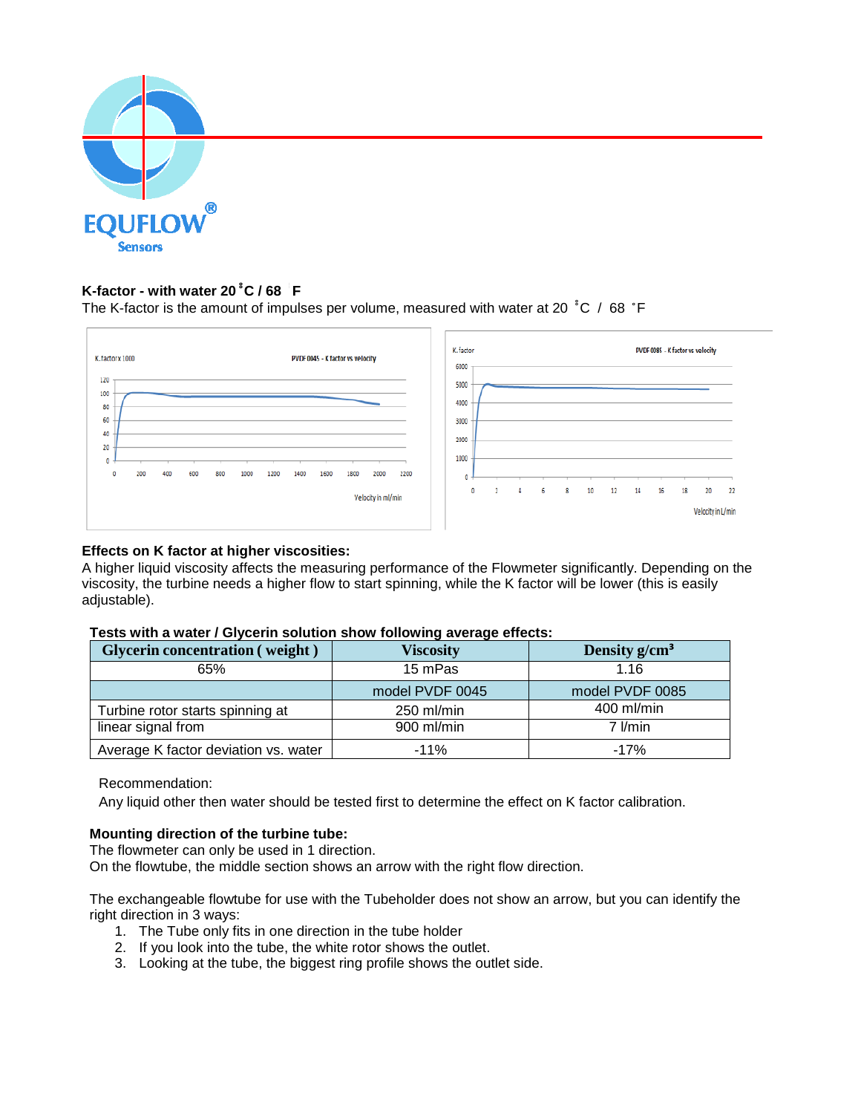

#### **K-factor - with water 20 ̊ C / 68 ̊ ̊ F ̊**

The K-factor is the amount of impulses per volume, measured with water at 20 ̊ C / 68 ̊F ̊



# **Effects on K factor at higher viscosities:**

A higher liquid viscosity affects the measuring performance of the Flowmeter significantly. Depending on the viscosity, the turbine needs a higher flow to start spinning, while the K factor will be lower (this is easily adjustable).

| Tests with a water / Glycerin solution show following average effects: |
|------------------------------------------------------------------------|
|------------------------------------------------------------------------|

| <b>Glycerin concentration (weight)</b> | Viscosity       | Density $g/cm^3$ |
|----------------------------------------|-----------------|------------------|
| 65%                                    | 15 mPas         | 1.16             |
|                                        | model PVDF 0045 | model PVDF 0085  |
| Turbine rotor starts spinning at       | 250 ml/min      | 400 ml/min       |
| linear signal from                     | 900 ml/min      | $7$ I/min        |
| Average K factor deviation vs. water   | $-11%$          | -17%             |

Recommendation:

Any liquid other then water should be tested first to determine the effect on K factor calibration.

### **Mounting direction of the turbine tube:**

The flowmeter can only be used in 1 direction.

On the flowtube, the middle section shows an arrow with the right flow direction.

The exchangeable flowtube for use with the Tubeholder does not show an arrow, but you can identify the right direction in 3 ways:

- 1. The Tube only fits in one direction in the tube holder
- 2. If you look into the tube, the white rotor shows the outlet.
- 3. Looking at the tube, the biggest ring profile shows the outlet side.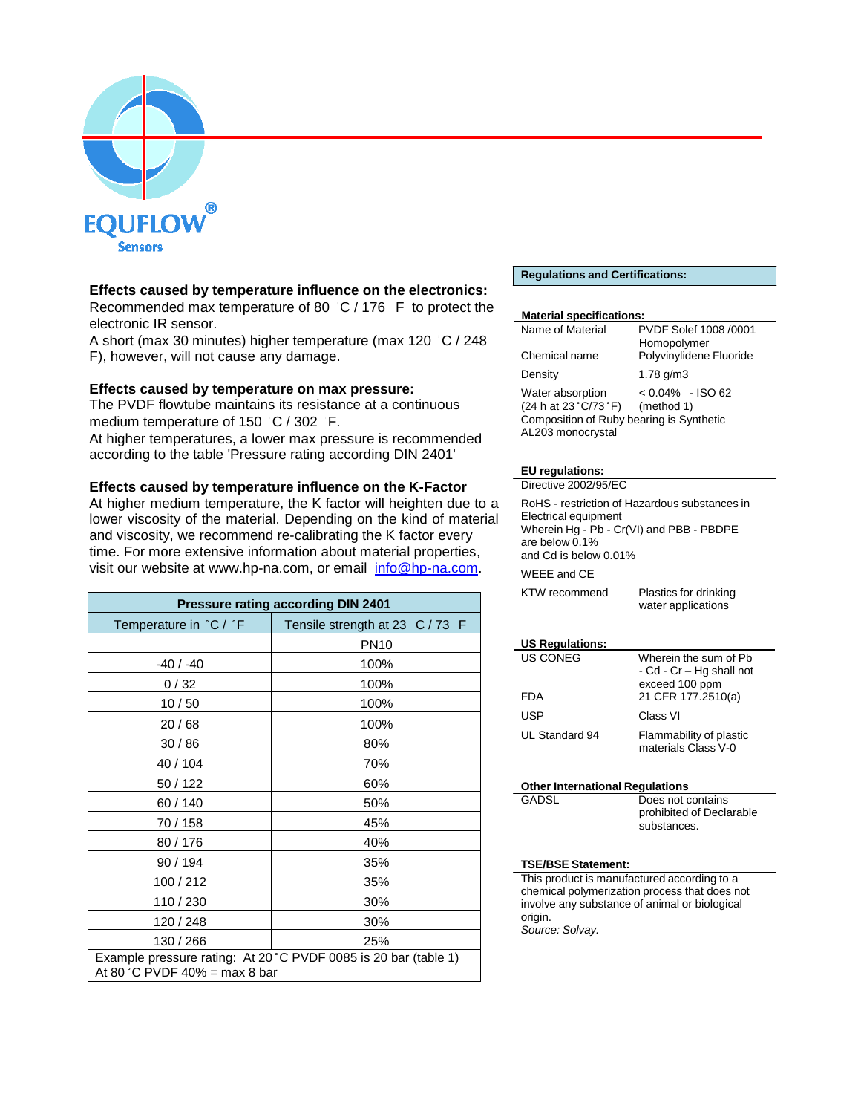

# **Effects caused by temperature influence on the electronics:**

Recommended max temperature of 80 °C / 176 °F to protect the electronic IR sensor.

A short (max 30 minutes) higher temperature (max 120 °C / 248 F), however, will not cause any damage.

### **Effects caused by temperature on max pressure:**

The PVDF flowtube maintains its resistance at a continuous medium temperature of 150 °C / 302 °F. At higher temperatures, a lower max pressure is recommended according to the table 'Pressure rating according DIN 2401'

# **Effects caused by temperature influence on the K-Factor**

At higher medium temperature, the K factor will heighten due to a lower viscosity of the material. Depending on the kind of material and viscosity, we recommend re-calibrating the K factor every time. For more extensive information about material properties, visit our web[site at www.hp-na.co](http://www.hp-na.com/)m, or email [info@hp-na.com.](mailto:info@hp-na.com)

| <b>Pressure rating according DIN 2401</b>                                                        |                                 |  |
|--------------------------------------------------------------------------------------------------|---------------------------------|--|
| Temperature in °C / °F                                                                           | Tensile strength at 23 C / 73 F |  |
|                                                                                                  | <b>PN10</b>                     |  |
| $-40/ -40$                                                                                       | 100%                            |  |
| 0/32                                                                                             | 100%                            |  |
| 10/50                                                                                            | 100%                            |  |
| 20/68                                                                                            | 100%                            |  |
| 30/86                                                                                            | 80%                             |  |
| 40 / 104                                                                                         | 70%                             |  |
| 50 / 122                                                                                         | 60%                             |  |
| 60/140                                                                                           | 50%                             |  |
| 70 / 158                                                                                         | 45%                             |  |
| 80/176                                                                                           | 40%                             |  |
| 90 / 194                                                                                         | 35%                             |  |
| 100 / 212                                                                                        | 35%                             |  |
| 110 / 230                                                                                        | 30%                             |  |
| 120 / 248                                                                                        | 30%                             |  |
| 130 / 266                                                                                        | 25%                             |  |
| Example pressure rating: At 20 °C PVDF 0085 is 20 bar (table 1)<br>At 80 °C PVDF 40% = max 8 bar |                                 |  |

#### **Regulations and Certifications:**

#### **Material specifications:**

| Name of Material                                                                                           | PVDF Solef 1008 /0001                  |
|------------------------------------------------------------------------------------------------------------|----------------------------------------|
| Chemical name                                                                                              | Homopolymer<br>Polyvinylidene Fluoride |
| Density                                                                                                    | 1.78 $q/m3$                            |
| Water absorption<br>(24 h at 23 °C/73 °F)<br>Composition of Ruby bearing is Synthetic<br>AL203 monocrystal | $< 0.04\%$ - ISO 62<br>(method 1)      |

#### **EU regulations:**

| Directive 2002/95/FC                                                                                                                                            |                                             |  |
|-----------------------------------------------------------------------------------------------------------------------------------------------------------------|---------------------------------------------|--|
| RoHS - restriction of Hazardous substances in<br>Electrical equipment<br>Wherein Hg - Pb - Cr(VI) and PBB - PBDPE<br>are below 0.1%<br>and Cd is below $0.01\%$ |                                             |  |
| WEEE and CE                                                                                                                                                     |                                             |  |
| KTW recommend                                                                                                                                                   | Plastics for drinking<br>water applications |  |

#### **US Regulations:**

| US CONEG       | Wherein the sum of Pb<br>- Cd - Cr - Hg shall not<br>exceed 100 ppm |
|----------------|---------------------------------------------------------------------|
| FDA            | 21 CFR 177.2510(a)                                                  |
| USP            | Class VI                                                            |
| UL Standard 94 | Flammability of plastic<br>materials Class V-0                      |

| <b>Other International Regulations</b> |                          |
|----------------------------------------|--------------------------|
| GADSL                                  | Does not contains        |
|                                        | prohibited of Declarable |
|                                        | substances.              |

#### **TSE/BSE Statement:**

This product is manufactured according to a chemical polymerization process that does not involve any substance of animal or biological origin. *Source: Solvay.*